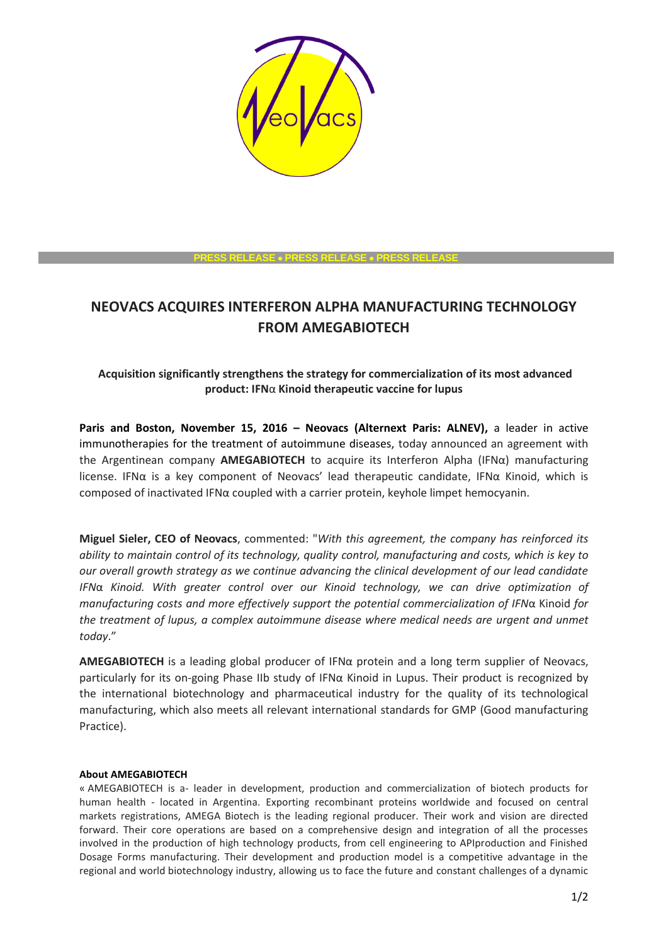

### **PRESS RELEASE PRESS RELEASE PRESS RELEASE**

# **NEOVACS ACQUIRES INTERFERON ALPHA MANUFACTURING TECHNOLOGY FROM AMEGABIOTECH**

## **Acquisition significantly strengthens the strategy for commercialization of its most advanced product: IFN**α **Kinoid therapeutic vaccine for lupus**

**Paris and Boston, November 15, 2016 – Neovacs (Alternext Paris: ALNEV),** a leader in active immunotherapies for the treatment of autoimmune diseases, today announced an agreement with the Argentinean company **AMEGABIOTECH** to acquire its Interferon Alpha (IFNα) manufacturing license. IFNα is a key component of Neovacs' lead therapeutic candidate, IFNα Kinoid, which is composed of inactivated IFNα coupled with a carrier protein, keyhole limpet hemocyanin.

**Miguel Sieler, CEO of Neovacs**, commented: "*With this agreement, the company has reinforced its ability to maintain control of its technology, quality control, manufacturing and costs, which is key to our overall growth strategy as we continue advancing the clinical development of our lead candidate IFN*α *Kinoid. With greater control over our Kinoid technology, we can drive optimization of manufacturing costs and more effectively support the potential commercialization of IFN*α Kinoid *for the treatment of lupus, a complex autoimmune disease where medical needs are urgent and unmet today*."

**AMEGABIOTECH** is a leading global producer of IFNα protein and a long term supplier of Neovacs, particularly for its on-going Phase IIb study of IFNα Kinoid in Lupus. Their product is recognized by the international biotechnology and pharmaceutical industry for the quality of its technological manufacturing, which also meets all relevant international standards for GMP (Good manufacturing Practice).

#### **About AMEGABIOTECH**

« AMEGABIOTECH is a- leader in development, production and commercialization of biotech products for human health - located in Argentina. Exporting recombinant proteins worldwide and focused on central markets registrations, AMEGA Biotech is the leading regional producer. Their work and vision are directed forward. Their core operations are based on a comprehensive design and integration of all the processes involved in the production of high technology products, from cell engineering to APIproduction and Finished Dosage Forms manufacturing. Their development and production model is a competitive advantage in the regional and world biotechnology industry, allowing us to face the future and constant challenges of a dynamic